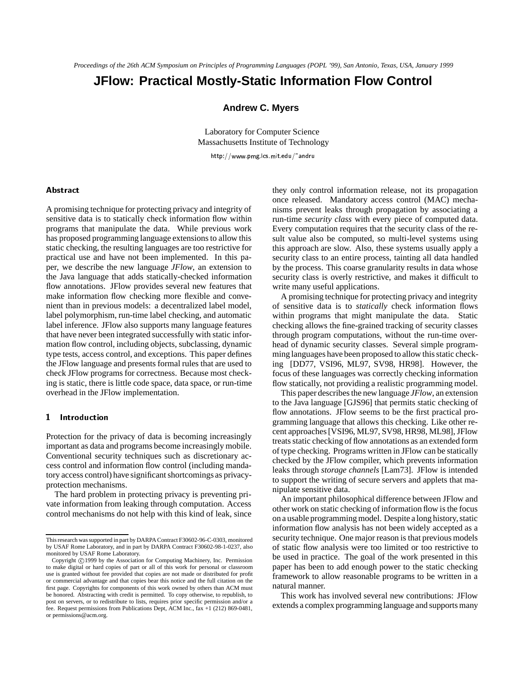# **JFlow: Practical Mostly-Static Information Flow Control**

## **Andrew C. Myers**

Laboratory for Computer Science Massachusetts Institute of Technology http://www.pmg.lcs.mit.edu/~andru

#### **Abstract**

A promising technique for protecting privacy and integrity of sensitive data is to statically check information flow within programs that manipulate the data. While previous work has proposed programming language extensions to allow this static checking, the resulting languages are too restrictive for practical use and have not been implemented. In this paper, we describe the new language *JFlow*, an extension to the Java language that adds statically-checked information flow annotations. JFlow provides several new features that make information flow checking more flexible and convenient than in previous models: a decentralized label model, label polymorphism, run-time label checking, and automatic label inference. JFlow also supports many language features that have never been integrated successfully with static information flow control, including objects, subclassing, dynamic type tests, access control, and exceptions. This paper defines the JFlow language and presents formal rules that are used to check JFlow programs for correctness. Because most checking is static, there is little code space, data space, or run-time overhead in the JFlow implementation.

### $\mathbf{1}$

Protection for the privacy of data is becoming increasingly important as data and programs become increasingly mobile. Conventional security techniques such as discretionary access control and information flow control (including mandatory access control) have significant shortcomings as privacyprotection mechanisms.

The hard problem in protecting privacy is preventing private information from leaking through computation. Access control mechanisms do not help with this kind of leak, since they only control information release, not its propagation once released. Mandatory access control (MAC) mechanisms prevent leaks through propagation by associating a run-time *security class* with every piece of computed data. Every computation requires that the security class of the result value also be computed, so multi-level systems using this approach are slow. Also, these systems usually apply a security class to an entire process, tainting all data handled by the process. This coarse granularity results in data whose security class is overly restrictive, and makes it difficult to write many useful applications.

A promising technique for protecting privacy and integrity of sensitive data is to *statically* check information flows within programs that might manipulate the data. Static checking allows the fine-grained tracking of security classes through program computations, without the run-time overhead of dynamic security classes. Several simple programming languages have been proposed to allow this static checking [DD77, VSI96, ML97, SV98, HR98]. However, the focus of these languages was correctly checking information flow statically, not providing a realistic programming model.

This paper describes the new language *JFlow*, an extension to the Java language [GJS96] that permits static checking of flow annotations. JFlow seems to be the first practical programming language that allows this checking. Like other recent approaches [VSI96, ML97, SV98, HR98, ML98], JFlow treats static checking of flow annotations as an extended form of type checking. Programs written in JFlow can be statically checked by the JFlow compiler, which prevents information leaks through *storage channels* [Lam73]. JFlow is intended to support the writing of secure servers and applets that manipulate sensitive data.

An important philosophical difference between JFlow and other work on static checking of information flow is the focus on a usable programming model. Despite a long history, static information flow analysis has not been widely accepted as a security technique. One major reason is that previous models of static flow analysis were too limited or too restrictive to be used in practice. The goal of the work presented in this paper has been to add enough power to the static checking framework to allow reasonable programs to be written in a natural manner.

This work has involved several new contributions: JFlow extends a complex programming language and supports many

This research was supported in part by DARPA Contract F30602-96-C-0303, monitored by USAF Rome Laboratory, and in part by DARPA Contract F30602-98-1-0237, also monitored by USAF Rome Laboratory.

Copyright ©1999 by the Association for Computing Machinery, Inc. Permission to make digital or hard copies of part or all of this work for personal or classroom use is granted without fee provided that copies are not made or distributed for profit or commercial advantage and that copies bear this notice and the full citation on the first page. Copyrights for components of this work owned by others than ACM must be honored. Abstracting with credit is permitted. To copy otherwise, to republish, to post on servers, or to redistribute to lists, requires prior specific permission and/or a fee. Request permissions from Publications Dept, ACM Inc., fax +1 (212) 869-0481, or permissions@acm.org.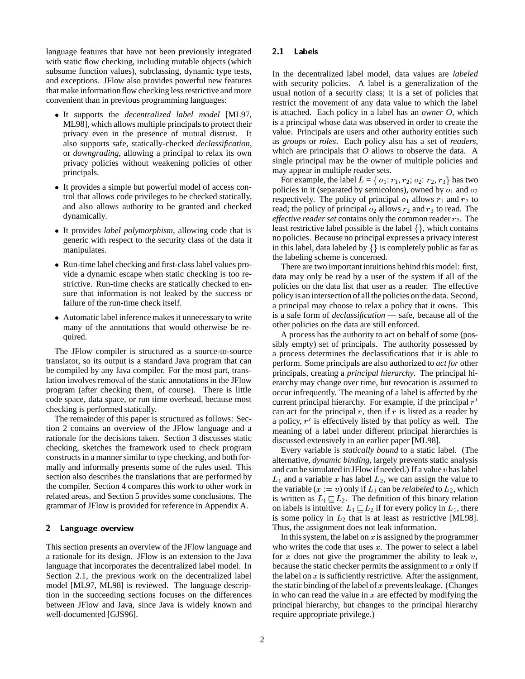language features that have not been previously integrated with static flow checking, including mutable objects (which subsume function values), subclassing, dynamic type tests, and exceptions. JFlow also provides powerful new features that make information flow checking less restrictive and more convenient than in previous programming languages:

- It supports the *decentralized label model* [ML97, ML98], which allows multiple principals to protect their privacy even in the presence of mutual distrust. It also supports safe, statically-checked *declassification*, or *downgrading*, allowing a principal to relax its own privacy policies without weakening policies of other principals.
- It provides a simple but powerful model of access control that allows code privileges to be checked statically, and also allows authority to be granted and checked dynamically.
- It provides *label polymorphism*, allowing code that is generic with respect to the security class of the data it manipulates.
- Run-time label checking and first-class label values provide a dynamic escape when static checking is too restrictive. Run-time checks are statically checked to ensure that information is not leaked by the success or failure of the run-time check itself.
- Automatic label inference makes it unnecessary to write many of the annotations that would otherwise be required.

The JFlow compiler is structured as a source-to-source translator, so its output is a standard Java program that can be compiled by any Java compiler. For the most part, translation involves removal of the static annotations in the JFlow program (after checking them, of course). There is little code space, data space, or run time overhead, because most checking is performed statically.

The remainder of this paper is structured as follows: Section 2 contains an overview of the JFlow language and a rationale for the decisions taken. Section 3 discusses static checking, sketches the framework used to check program constructs in a manner similar to type checking, and both formally and informally presents some of the rules used. This section also describes the translations that are performed by the compiler. Section 4 compares this work to other work in related areas, and Section 5 provides some conclusions. The grammar of JFlow is provided for reference in Appendix A.

## 2 Language overview

This section presents an overview of the JFlow language and a rationale for its design. JFlow is an extension to the Java language that incorporates the decentralized label model. In Section 2.1, the previous work on the decentralized label model [ML97, ML98] is reviewed. The language description in the succeeding sections focuses on the differences between JFlow and Java, since Java is widely known and well-documented [GJS96].

## 2.1 Labels

In the decentralized label model, data values are *labeled* with security policies. A label is a generalization of the usual notion of a security class; it is a set of policies that restrict the movement of any data value to which the label is attached. Each policy in a label has an *owner O*, which is a principal whose data was observed in order to create the value. Principals are users and other authority entities such as *groups* or *roles*. Each policy also has a set of *readers*, which are principals that *O* allows to observe the data. A single principal may be the owner of multiple policies and may appear in multiple reader sets.

For example, the label  $L = \{o_1: r_1, r_2: o_2: r_2, r_3\}$  has two policies in it (separated by semicolons), owned by  $o_1$  and  $o_2$ respectively. The policy of principal  $o_1$  allows  $r_1$  and  $r_2$  to read; the policy of principal  $o_2$  allows  $r_2$  and  $r_3$  to read. The *effective reader set* contains only the common reader  $r_2$ . The least restrictive label possible is the label  $\{\}$ , which contains no policies. Because no principal expresses a privacy interest in this label, data labeled by  $\{\}$  is completely public as far as the labeling scheme is concerned.

There are two important intuitions behind this model: first, data may only be read by a user of the system if all of the policies on the data list that user as a reader. The effective policy is an intersection of all the policies on the data. Second, a principal may choose to relax a policy that it owns. This is a safe form of *declassification* — safe, because all of the other policies on the data are still enforced.

A process has the authority to act on behalf of some (possibly empty) set of principals. The authority possessed by a process determines the declassifications that it is able to perform. Some principals are also authorized to *act for* other principals, creating a *principal hierarchy*. The principal hierarchy may change over time, but revocation is assumed to occur infrequently. The meaning of a label is affected by the current principal hierarchy. For example, if the principal  $r'$ can act for the principal  $r$ , then if  $r$  is listed as a reader by a policy,  $r'$  is effectively listed by that policy as well. The meaning of a label under different principal hierarchies is discussed extensively in an earlier paper [ML98].

Every variable is *statically bound* to a static label. (The alternative, *dynamic binding*, largely prevents static analysis and can be simulated in JFlow if needed.) If a value  $v$  has label  $L_1$  and a variable x has label  $L_2$ , we can assign the value to the variable  $(x := v)$  only if  $L_1$  can be *relabeled* to  $L_2$ , which is written as  $L_1 \sqsubseteq L_2$ . The definition of this binary relation on labels is intuitive:  $L_1 \sqsubseteq L_2$  if for every policy in  $L_1$ , there is some policy in  $L_2$  that is at least as restrictive [ML98]. Thus, the assignment does not leak information.

In this system, the label on  $x$  is assigned by the programmer who writes the code that uses  $x$ . The power to select a label for x does not give the programmer the ability to leak  $v$ , because the static checker permits the assignment to  $x$  only if the label on  $x$  is sufficiently restrictive. After the assignment, the static binding of the label of x prevents leakage. (Changes in who can read the value in  $x$  are effected by modifying the principal hierarchy, but changes to the principal hierarchy require appropriate privilege.)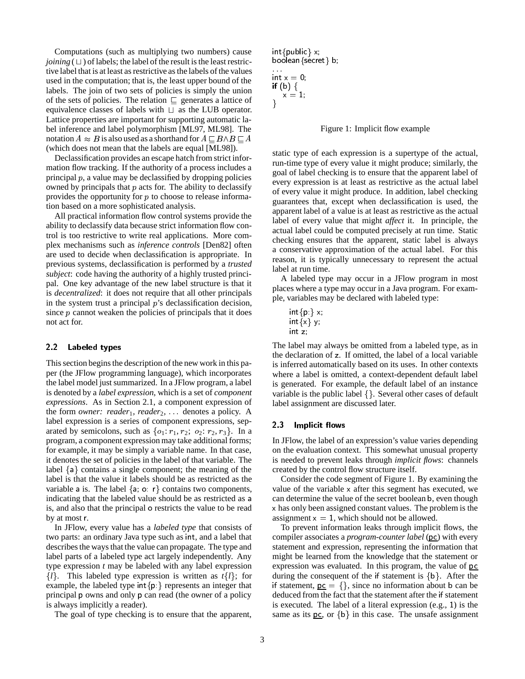Computations (such as multiplying two numbers) cause *joining*  $(\sqcup)$  of labels; the label of the result is the least restrictive label that is at least as restrictive as the labels of the values used in the computation; that is, the least upper bound of the labels. The join of two sets of policies is simply the union of the sets of policies. The relation  $\subseteq$  generates a lattice of equivalence classes of labels with  $\sqcup$  as the LUB operator. Lattice properties are important for supporting automatic label inference and label polymorphism [ML97, ML98]. The notation  $A \approx B$  is also used as a shorthand for  $A \sqsubseteq B \land B \sqsubseteq A$ (which does not mean that the labels are equal [ML98]).

Declassification provides an escape hatch from strict information flow tracking. If the authority of a process includes a principal  $p$ , a value may be declassified by dropping policies owned by principals that  $p$  acts for. The ability to declassify provides the opportunity for <sup>p</sup> to choose to release information based on a more sophisticated analysis.

All practical information flow control systems provide the ability to declassify data because strict information flow control is too restrictive to write real applications. More complex mechanisms such as *inference controls* [Den82] often are used to decide when declassification is appropriate. In previous systems, declassification is performed by a *trusted subject*: code having the authority of a highly trusted principal. One key advantage of the new label structure is that it is *decentralized*: it does not require that all other principals in the system trust a principal p's declassification decision, since  $p$  cannot weaken the policies of principals that it does not act for.

## 2.2 Labeled types

This section begins the description of the new work in this paper (the JFlow programming language), which incorporates the label model just summarized. In a JFlow program, a label is denoted by a *label expression*, which is a set of *component expressions*. As in Section 2.1, a component expression of the form *owner: reader*<sub>1</sub>*, reader*<sub>2</sub>*,* ... denotes a policy. A label expression is a series of component expressions, separated by semicolons, such as  $\{o_1: r_1, r_2; o_2: r_2, r_3\}$ . In a program, a component expression may take additional forms; for example, it may be simply a variable name. In that case, it denotes the set of policies in the label of that variable. The label  $\{a\}$  contains a single component; the meaning of the label is that the value it labels should be as restricted as the variable a is. The label  $\{a, o: r\}$  contains two components, indicating that the labeled value should be as restricted as <sup>a</sup> is, and also that the principal o restricts the value to be read by at most r.

In JFlow, every value has a *labeled type* that consists of two parts: an ordinary Java type such as int, and a label that describes the ways that the value can propagate. The type and label parts of a labeled type act largely independently. Any type expression *t* may be labeled with any label expression  $\{l\}$ . This labeled type expression is written as  $t\{l\}$ ; for example, the labeled type int $\{p_i\}$  represents an integer that principal p owns and only p can read (the owner of a policy is always implicitly a reader).

The goal of type checking is to ensure that the apparent,

 $int{public} x;$ boolean {secret } b; int  $x = 0$ : if the contract of the contract of  $\mathbf{b}$  $x = 1$ ;

and the contract of the contract of the contract of the contract of the contract of the contract of the contract of the contract of the contract of the contract of the contract of the contract of the contract of the contra



static type of each expression is a supertype of the actual, run-time type of every value it might produce; similarly, the goal of label checking is to ensure that the apparent label of every expression is at least as restrictive as the actual label of every value it might produce. In addition, label checking guarantees that, except when declassification is used, the apparent label of a value is at least as restrictive as the actual label of every value that might *affect* it. In principle, the actual label could be computed precisely at run time. Static checking ensures that the apparent, static label is always a conservative approximation of the actual label. For this reason, it is typically unnecessary to represent the actual label at run time.

A labeled type may occur in a JFlow program in most places where a type may occur in a Java program. For example, variables may be declared with labeled type:

 $int{p} x;$  $int{x}$  y;  $\cdots$   $\cdots$   $\cdots$   $\cdots$ 

The label may always be omitted from a labeled type, as in the declaration of z. If omitted, the label of a local variable is inferred automatically based on its uses. In other contexts where a label is omitted, a context-dependent default label is generated. For example, the default label of an instance variable is the public label  $\{\}$ . Several other cases of default label assignment are discussed later.

### 2.3 Implicit flows

In JFlow, the label of an expression's value varies depending on the evaluation context. This somewhat unusual property is needed to prevent leaks through *implicit flows*: channels created by the control flow structure itself.

Consider the code segment of Figure 1. By examining the value of the variable x after this segment has executed, we can determine the value of the secret boolean <sup>b</sup>, even though x has only been assigned constant values. The problem is the assignment  $x=1$ , which should not be allowed.

To prevent information leaks through implicit flows, the compiler associates a *program-counter label* (pc) with every statement and expression, representing the information that might be learned from the knowledge that the statement or expression was evaluated. In this program, the value of pc during the consequent of the if statement is  $\{b\}$ . After the if statement,  $pc = \{\}$ , since no information about b can be deduced from the fact that the statement after the if statement is executed. The label of a literal expression (e.g., <sup>1</sup>) is the same as its  $p_c$ , or  $\{b\}$  in this case. The unsafe assignment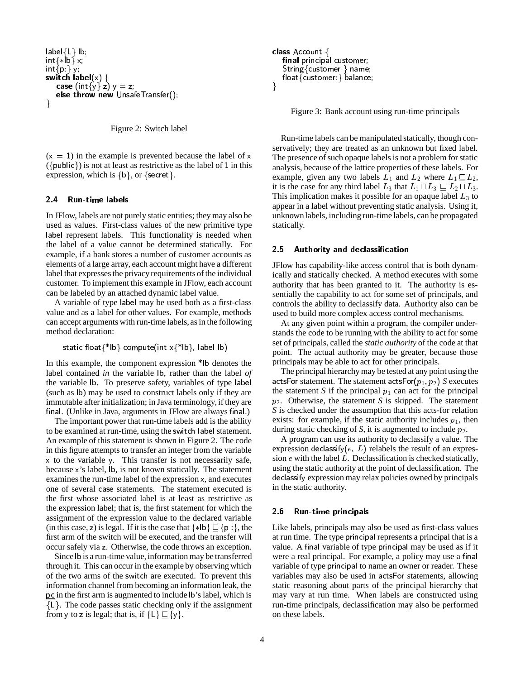```
\n
$$
\begin{array}{l}\n\text{label}{L} \text{lib} \\
\text{int}_{x} \text{lib} > x; \\
\text{int}_{p} \text{b} > y; \\
\text{switch label}(x) < \\
\text{case } (\text{int}_{y} \text{z}) > y = z; \\
\text{else throw new UnsafeTransfer();}\n\end{array}
$$
\n
```

Figure 2: Switch label

 $(x = 1)$  in the example is prevented because the label of x  $({\{\text{public}\}})$  is not at least as restrictive as the label of 1 in this expression, which is  $\{b\}$ , or  $\{secret\}$ .

#### $2.4$ **Run**-time labels

In JFlow, labels are not purely static entities; they may also be used as values. First-class values of the new primitive type label represent labels. This functionality is needed when the label of a value cannot be determined statically. For example, if a bank stores a number of customer accounts as elements of a large array, each account might have a different label that expresses the privacy requirements of the individual customer. To implement this example in JFlow, each account can be labeled by an attached dynamic label value.

A variable of type label may be used both as a first-class value and as a label for other values. For example, methods can accept arguments with run-time labels,as in the following method declaration:

static float $\{ * \text{lb} \}$  compute(int  $x\{ * \text{lb} \}$ , label lb)

In this example, the component expression \*lb denotes the label contained *in* the variable lb, rather than the label *of* the variable lb. To preserve safety, variables of type label (such as lb) may be used to construct labels only if they are immutable after initialization; in Java terminology, if they are final. (Unlike in Java, arguments in JFlow are always final.)

The important power that run-time labels add is the ability to be examined at run-time, using the switch label statement. An example of this statement is shown in Figure 2. The code in this figure attempts to transfer an integer from the variable x to the variable y. This transfer is not necessarily safe, because <sup>x</sup>'s label, lb, is not known statically. The statement examines the run-time label of the expression x, and executes one of several case statements. The statement executed is the first whose associated label is at least as restrictive as the expression label; that is, the first statement for which the assignment of the expression value to the declared variable (in this case, z) is legal. If it is the case that  $\{ * \mathsf{lb} \} \sqsubseteq \{ \mathsf{p} : \}$ , the first arm of the switch will be executed, and the transfer will occur safely via z. Otherwise, the code throws an exception.

Since lb is a run-time value, information may be transferred through it. This can occur in the example by observing which of the two arms of the switch are executed. To prevent this information channel from becoming an information leak, the pc in the first arm is augmented to include lb's label, which is  ${L}$ . The code passes static checking only if the assignment from y to z is legal; that is, if  $\{L\} \sqsubseteq \{y\}$ .

```
class Account \{for the contract of the contract of the contract of the contract of the contract of the contract of the contract of the contract of the contract of the contract of the contract of the contract of the contract of the contra
         final principal customer;
         String{customer:} name;
        float{cutconer:} balance;
```
graduate and the contract of the contract of the contract of the contract of the contract of the contract of the contract of the contract of the contract of the contract of the contract of the contract of the contract of t

Figure 3: Bank account using run-time principals

Run-time labels can be manipulated statically, though conservatively; they are treated as an unknown but fixed label. The presence of such opaque labels is not a problem for static analysis, because of the lattice properties of these labels. For example, given any two labels  $L_1$  and  $L_2$  where  $L_1 \sqsubseteq L_2$ , it is the case for any third label  $L_3$  that  $L_1 \sqcup L_3 \sqsubseteq L_2 \sqcup L_3$ . This implication makes it possible for an opaque label  $L_3$  to appear in a label without preventing static analysis. Using it, unknown labels, including run-time labels, can be propagated statically.

#### 2.5 Authority and declassication

JFlow has capability-like access control that is both dynamically and statically checked. A method executes with some authority that has been granted to it. The authority is essentially the capability to act for some set of principals, and controls the ability to declassify data. Authority also can be used to build more complex access control mechanisms.

At any given point within a program, the compiler understands the code to be running with the ability to act for some set of principals, called the *static authority* of the code at that point. The actual authority may be greater, because those principals may be able to act for other principals.

The principal hierarchy may be tested at any point using the actsFor statement. The statement actsFor $(p_1, p_2)$  *S* executes the statement *S* if the principal  $p_1$  can act for the principal p2. Otherwise, the statement *S* is skipped. The statement *S* is checked under the assumption that this acts-for relation exists: for example, if the static authority includes  $p_1$ , then during static checking of *S*, it is augmented to include  $p_2$ .

A program can use its authority to declassify a value. The expression declassify( $e$ ,  $L$ ) relabels the result of an expression  $e$  with the label  $L$ . Declassification is checked statically, using the static authority at the point of declassification. The declassify expression may relax policies owned by principals in the static authority.

#### $2.6$ Run-time principals

Like labels, principals may also be used as first-class values at run time. The type principal represents a principal that is a value. A final variable of type principal may be used as if it were a real principal. For example, a policy may use a final variable of type principal to name an owner or reader. These variables may also be used in actsFor statements, allowing static reasoning about parts of the principal hierarchy that may vary at run time. When labels are constructed using run-time principals, declassification may also be performed on these labels.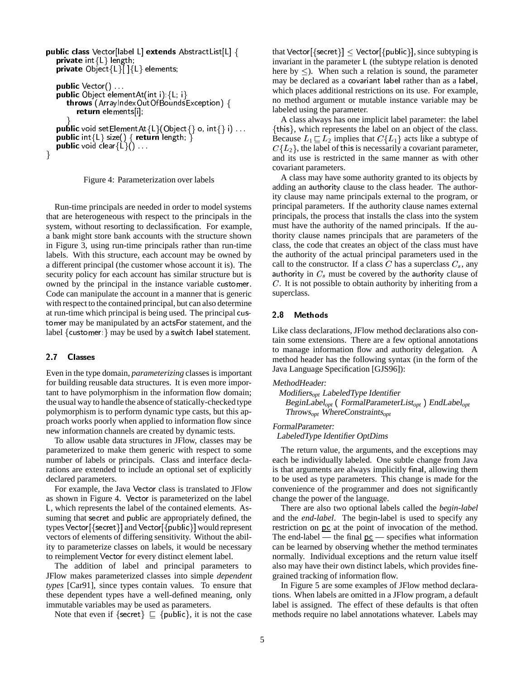```
public class Vector[label L] extends AbstractList[L] {
      private int\{L\} length;
      private Object{L} {\lbrack} {\lbrack} {\lbrack} elements;
      public Vector() ...
      public Object elementAt(int i): {L; i}throws (ArrayIndexOutOfBoundsException) from A and Areturn elements[i];
             and the contract of the contract of the contract of the contract of the contract of the contract of the contract of the contract of the contract of the contract of the contract of the contract of the contract of the contra
      public void setElementAt\{L\}(Object\{\} o, int\{\} i):::::
      public int{L} size() { return length; }
      public void clear\{L\}() \ldotsgraduate and the contract of the contract of the contract of the contract of the contract of the contract of the contract of the contract of the contract of the contract of the contract of the contract of the contract of t
```


Run-time principals are needed in order to model systems that are heterogeneous with respect to the principals in the system, without resorting to declassification. For example, a bank might store bank accounts with the structure shown in Figure 3, using run-time principals rather than run-time labels. With this structure, each account may be owned by a different principal (the customer whose account it is). The security policy for each account has similar structure but is owned by the principal in the instance variable customer. Code can manipulate the account in a manner that is generic with respect to the contained principal, but can also determine at run-time which principal is being used. The principal customer may be manipulated by an actsFor statement, and the label {customer:} may be used by a switch label statement.

### 2.7 Classes

Even in the type domain, *parameterizing* classes is important for building reusable data structures. It is even more important to have polymorphism in the information flow domain; the usual way to handle the absence of statically-checked type polymorphism is to perform dynamic type casts, but this approach works poorly when applied to information flow since new information channels are created by dynamic tests.

To allow usable data structures in JFlow, classes may be parameterized to make them generic with respect to some number of labels or principals. Class and interface declarations are extended to include an optional set of explicitly declared parameters.

For example, the Java Vector class is translated to JFlow as shown in Figure 4. Vector is parameterized on the label L, which represents the label of the contained elements. Assuming that secret and public are appropriately defined, the types Vector[{secret}] and Vector[{public}] would represent vectors of elements of differing sensitivity. Without the ability to parameterize classes on labels, it would be necessary to reimplement Vector for every distinct element label.

The addition of label and principal parameters to JFlow makes parameterized classes into simple *dependent types* [Car91], since types contain values. To ensure that these dependent types have a well-defined meaning, only immutable variables may be used as parameters.

Note that even if {secret}  $\subseteq$  {public}, it is not the case

that Vector[{secret}]  $\leq$  Vector[{public}], since subtyping is invariant in the parameter <sup>L</sup> (the subtype relation is denoted here by  $\leq$ ). When such a relation is sound, the parameter may be declared as a covariant label rather than as a label, which places additional restrictions on its use. For example, no method argument or mutable instance variable may be labeled using the parameter.

A class always has one implicit label parameter: the label  $\{$ this $\}$ , which represents the label on an object of the class. Because  $L_1 \sqsubseteq L_2$  implies that  $C\{L_1\}$  acts like a subtype of  $C\{L_2\}$ , the label of this is necessarily a covariant parameter, and its use is restricted in the same manner as with other covariant parameters.

A class may have some authority granted to its objects by adding an authority clause to the class header. The authority clause may name principals external to the program, or principal parameters. If the authority clause names external principals, the process that installs the class into the system must have the authority of the named principals. If the authority clause names principals that are parameters of the class, the code that creates an object of the class must have the authority of the actual principal parameters used in the call to the constructor. If a class C has a superclass  $C_s$ , any authority in  $C_s$  must be covered by the authority clause of  $C$ . It is not possible to obtain authority by inheriting from a superclass.

#### $2.8$ **Methods**

Like class declarations, JFlow method declarations also contain some extensions. There are a few optional annotations to manage information flow and authority delegation. A method header has the following syntax (in the form of the Java Language Specification [GJS96]):

### MethodHeader:

Modifiers*opt* LabeledType Identifier BeginLabel*opt* ( FormalParameterList*opt* ) EndLabel*opt* Throws*opt* WhereConstraints*opt*

### FormalParameter:

LabeledType Identifier OptDims

The return value, the arguments, and the exceptions may each be individually labeled. One subtle change from Java is that arguments are always implicitly final, allowing them to be used as type parameters. This change is made for the convenience of the programmer and does not significantly change the power of the language.

There are also two optional labels called the *begin-label* and the *end-label*. The begin-label is used to specify any restriction on pc at the point of invocation of the method. The end-label — the final  $p_c$  — specifies what information can be learned by observing whether the method terminates normally. Individual exceptions and the return value itself also may have their own distinct labels, which provides finegrained tracking of information flow.

In Figure 5 are some examples of JFlow method declarations. When labels are omitted in a JFlow program, a default label is assigned. The effect of these defaults is that often methods require no label annotations whatever. Labels may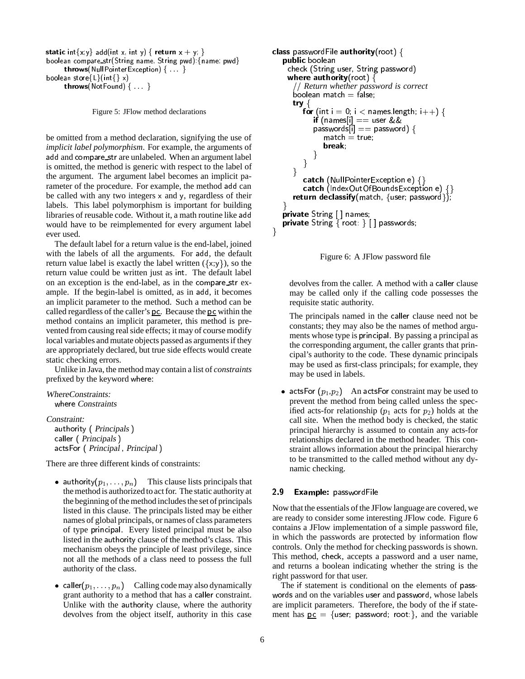```
static int\{x,y\} add(int x, int y) \{ return x + y; \}boolean compare_str(String name, String pwd):{name; pwd}
     throws(NullPointerException) \{ \dots \}boolean store\{L\}(int\{\} x)
     throws(NotFound) { \ldots }
```
Figure 5: JFlow method declarations

be omitted from a method declaration, signifying the use of *implicit label polymorphism*. For example, the arguments of add and compare str are unlabeled. When an argument label is omitted, the method is generic with respect to the label of the argument. The argument label becomes an implicit parameter of the procedure. For example, the method add can be called with any two integers <sup>x</sup> and <sup>y</sup>, regardless of their labels. This label polymorphism is important for building libraries of reusable code. Without it, a math routine like add would have to be reimplemented for every argument label ever used.

The default label for a return value is the end-label, joined with the labels of all the arguments. For add, the default return value label is exactly the label written  $({x,y})$ , so the return value could be written just as int. The default label on an exception is the end-label, as in the compare str example. If the begin-label is omitted, as in add, it becomes an implicit parameter to the method. Such a method can be called regardless of the caller's pc. Because the pc within the method contains an implicit parameter, this method is prevented from causing real side effects; it may of course modify local variables and mutate objects passed as arguments if they are appropriately declared, but true side effects would create static checking errors.

Unlike in Java, the method may contain a list of *constraints* prefixed by the keyword where:

```
WhereConstraints:
 where Constraints
```

```
Constraint:
  authority ( Principals )
  caller ( Principals )
  actsFor ( Principal , Principal )
```
There are three different kinds of constraints:

- authority $(p_1, \ldots, p_n)$  This clause lists principals that the method is authorized to act for. The static authority at the beginning of the method includes the set of principals listed in this clause. The principals listed may be either names of global principals, or names of class parameters of type principal. Every listed principal must be also listed in the authority clause of the method's class. This mechanism obeys the principle of least privilege, since not all the methods of a class need to possess the full authority of the class.
- caller $(p_1, \ldots, p_n)$  Calling code may also dynamically grant authority to a method that has a caller constraint. Unlike with the authority clause, where the authority devolves from the object itself, authority in this case

```
class passwordFile authority(root) for \mathbf{r} and \mathbf{r} for \mathbf{r} for \mathbf{r}public boolean
          check (String user, String password)
          where authority(root) {
               // Return whether password is correct
               boolean match = false;
              try {
                         for the contract of the contract of the contract of the contract of the contract of the contract of the contract of the contract of the contract of the contract of the contract of the contract of the contract of the contra
                     for (int i = 0; i < names.length; i++) {
                             if (names[i] == user &&
                              passwords[i] == passwords[i] == passwords[i] == passwords[i] == passwords[i] == passwords[i] == passwords[i] ==
                                     match = true;break;
                              graduate and the contract of the contract of the contract of the contract of the contract of the contract of the
                      \}graduate and the contract of the contract of the contract of the contract of the contract of the contract of the contract of the contract of the contract of the contract of the contract of the contract of the contract of t
                      catch (NullPointerException e) \{\}catch (IndexOutOfBoundsException e) {
               \mathsf{return}\ \mathsf{declassify}(\mathsf{match},\ \{\mathsf{user},\ \mathsf{password}\}) ;and the contract of the contract of the contract of the contract of the contract of the contract of the contract of the contract of the contract of the contract of the contract of the contract of the contract of the contra
       private String [ ] names;
       private String f root: g [ ] passwords;
```
Figure 6: A JFlow password file

devolves from the caller. A method with a caller clause may be called only if the calling code possesses the requisite static authority.

The principals named in the caller clause need not be constants; they may also be the names of method arguments whose type is principal. By passing a principal as the corresponding argument, the caller grants that principal's authority to the code. These dynamic principals may be used as first-class principals; for example, they may be used in labels.

• actsFor  $(p_1, p_2)$  An actsFor constraint may be used to prevent the method from being called unless the specified acts-for relationship ( $p_1$  acts for  $p_2$ ) holds at the call site. When the method body is checked, the static principal hierarchy is assumed to contain any acts-for relationships declared in the method header. This constraint allows information about the principal hierarchy to be transmitted to the called method without any dynamic checking.

#### 29 **Example:** passwordFile

graduate and the contract of the contract of the contract of the contract of the contract of the contract of the contract of the contract of the contract of the contract of the contract of the contract of the contract of t

Now that the essentials of the JFlow language are covered, we are ready to consider some interesting JFlow code. Figure 6 contains a JFlow implementation of a simple password file, in which the passwords are protected by information flow controls. Only the method for checking passwords is shown. This method, check, accepts a password and a user name, and returns a boolean indicating whether the string is the right password for that user.

The if statement is conditional on the elements of pass words and on the variables user and password, whose labels are implicit parameters. Therefore, the body of the if statement has  $pc = \{user, password; root:\}$ , and the variable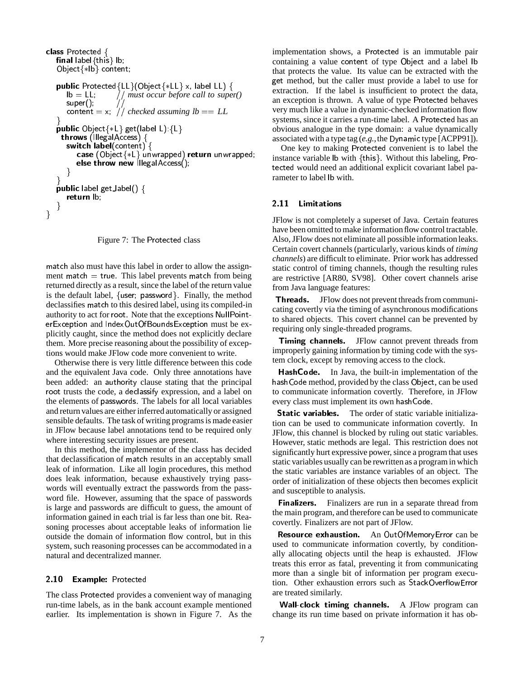```
class Protected {
                                                                           for the contract of the contract of the contract of the contract of the contract of the contract of the contract of the contract of the contract of the contract of the contract of the contract of the contract of the contra
             final label\{this\} lb;
             Object{*lb} content;
             public Protected{LL}(Object{*LL} x, label LL) {
                          \begin{array}{lll} \n\text{lb} = \text{LL}; & \text{if } x & \text{if } y & \text{if } y & \text{if } y & \text{if } y & \text{if } y & \text{if } y & \text{if } y & \text{if } y & \text{if } y & \text{if } y & \text{if } y & \text{if } y & \text{if } y & \text{if } y & \text{if } y & \text{if } y & \text{if } y & \text{if } y & \text{if } y & \text{if } y & \text{if } y & \text{if } y & \text{if } y & \text{if } y & \text{if } y & \text{if } y & \text{if } y & \textcontent = x; \frac{1}{2} checked assuming lb == LL
              and the contract of the contract of the contract of the contract of the contract of the contract of the contract of the contract of the contract of the contract of the contract of the contract of the contract of the contra
             public Object\{*L\} get(label L):\{L\}throws (IllegalAccess) {
                                                                                                                             for the contract of the contract of the contract of the contract of the contract of the contract of the contract of the contract of the contract of the contract of the contract of the contract of the contract of the contra
                          switch label(content) {
                                       case (Object\{*L\} unwrapped) return unwrapped;
                                        else throw new IllegalAccess();
                          R
                           graduate and the contract of the contract of the contract of the contract of the contract of the contract of the contract of the contract of the contract of the contract of the contract of the contract of the contract of t
             ļ
              and the contract of the contract of the contract of the contract of the contract of the contract of the contract of the contract of the contract of the contract of the contract of the contract of the contract of the contra
             public label get label() \{return lb;
              and the contract of the contract of the contract of the contract of the contract of the contract of the contract of the contract of the contract of the contract of the contract of the contract of the contract of the contra
\}
```
Figure 7: The Protected class

match also must have this label in order to allow the assignment match  $=$  true. This label prevents match from being returned directly as a result, since the label of the return value is the default label,  $\{user, password\}$ . Finally, the method declassifies match to this desired label, using its compiled-in authority to act for root. Note that the exceptions NullPointerException and IndexOutOfBoundsException must be explicitly caught, since the method does not explicitly declare them. More precise reasoning about the possibility of exceptions would make JFlow code more convenient to write.

Otherwise there is very little difference between this code and the equivalent Java code. Only three annotations have been added: an authority clause stating that the principal root trusts the code, a declassify expression, and a label on the elements of passwords. The labels for all local variables and return values are either inferred automatically or assigned sensible defaults. The task of writing programs is made easier in JFlow because label annotations tend to be required only where interesting security issues are present.

In this method, the implementor of the class has decided that declassification of match results in an acceptably small leak of information. Like all login procedures, this method does leak information, because exhaustively trying passwords will eventually extract the passwords from the password file. However, assuming that the space of passwords is large and passwords are difficult to guess, the amount of information gained in each trial is far less than one bit. Reasoning processes about acceptable leaks of information lie outside the domain of information flow control, but in this system, such reasoning processes can be accommodated in a natural and decentralized manner.

## 2.10 Example: Protected

The class Protected provides a convenient way of managing run-time labels, as in the bank account example mentioned earlier. Its implementation is shown in Figure 7. As the implementation shows, a Protected is an immutable pair containing a value content of type Object and a label lb that protects the value. Its value can be extracted with the get method, but the caller must provide a label to use for extraction. If the label is insufficient to protect the data, an exception is thrown. A value of type Protected behaves very much like a value in dynamic-checked information flow systems, since it carries a run-time label. A Protected has an obvious analogue in the type domain: a value dynamically associated with a type tag (*e.g.*,the Dynamic type [ACPP91]).

One key to making Protected convenient is to label the instance variable  $\mathsf{lb}$  with  $\{\mathsf{this}\}\$ . Without this labeling, Protected would need an additional explicit covariant label parameter to label lb with.

#### 2.11 **Limitations**

JFlow is not completely a superset of Java. Certain features have been omitted to make information flow control tractable. Also, JFlow does not eliminate all possible information leaks. Certain covert channels (particularly, various kinds of *timing channels*) are difficult to eliminate. Prior work has addressed static control of timing channels, though the resulting rules are restrictive [AR80, SV98]. Other covert channels arise from Java language features:

Threads. JFlow does not prevent threads from communicating covertly via the timing of asynchronous modifications to shared objects. This covert channel can be prevented by requiring only single-threaded programs.

Timing channels. JFlow cannot prevent threads from improperly gaining information by timing code with the system clock, except by removing access to the clock.

HashCode. In Java, the built-in implementation of the hashCode method, provided by the class Object, can be used to communicate information covertly. Therefore, in JFlow every class must implement its own hashCode.

**Static variables.** The order of static variable initialization can be used to communicate information covertly. In JFlow, this channel is blocked by ruling out static variables. However, static methods are legal. This restriction does not significantly hurt expressive power, since a program that uses static variables usually can be rewritten as a program in which the static variables are instance variables of an object. The order of initialization of these objects then becomes explicit and susceptible to analysis.

Finalizers. Finalizers are run in a separate thread from the main program, and therefore can be used to communicate covertly. Finalizers are not part of JFlow.

Resource exhaustion. An OutOfMemoryError can be used to communicate information covertly, by conditionally allocating objects until the heap is exhausted. JFlow treats this error as fatal, preventing it from communicating more than a single bit of information per program execution. Other exhaustion errors such as StackOverflow Error are treated similarly.

Wall-clock timing channels. A JFlow program can change its run time based on private information it has ob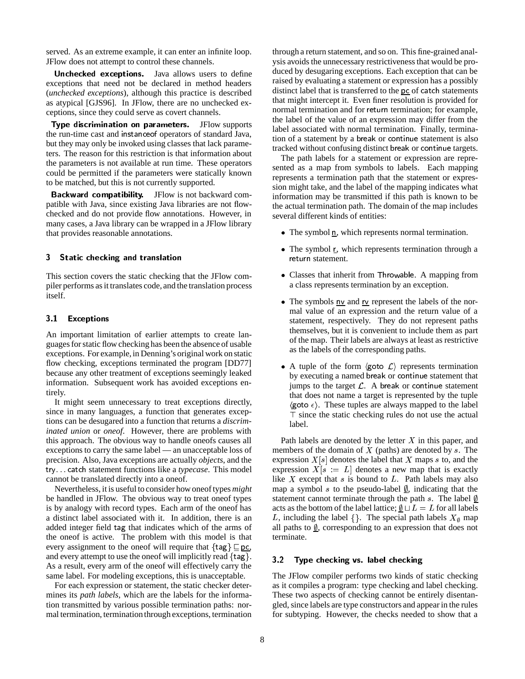served. As an extreme example, it can enter an infinite loop. JFlow does not attempt to control these channels.

Unchecked exceptions. Java allows users to define exceptions that need not be declared in method headers (*unchecked exceptions*), although this practice is described as atypical [GJS96]. In JFlow, there are no unchecked exceptions, since they could serve as covert channels.

Type discrimination on parameters. JFlow supports the run-time cast and instanceof operators of standard Java, but they may only be invoked using classes that lack parameters. The reason for this restriction is that information about the parameters is not available at run time. These operators could be permitted if the parameters were statically known to be matched, but this is not currently supported.

Backward compatibility. JFlow is not backward compatible with Java, since existing Java libraries are not flowchecked and do not provide flow annotations. However, in many cases, a Java library can be wrapped in a JFlow library that provides reasonable annotations.

### 3 Static checking and translation

This section covers the static checking that the JFlow compiler performs as it translates code, and the translation process itself.

#### $3.1$ **Exceptions**

An important limitation of earlier attempts to create languages for static flow checking has been the absence of usable exceptions. For example, in Denning's original work on static flow checking, exceptions terminated the program [DD77] because any other treatment of exceptions seemingly leaked information. Subsequent work has avoided exceptions entirely.

It might seem unnecessary to treat exceptions directly, since in many languages, a function that generates exceptions can be desugared into a function that returns a *discriminated union* or *oneof*. However, there are problems with this approach. The obvious way to handle oneofs causes all exceptions to carry the same label — an unacceptable loss of precision. Also, Java exceptions are actually *objects*, and the try::: catch statement functions like a *typecase*. This model cannot be translated directly into a oneof.

Nevertheless, it is useful to consider how oneof types *might* be handled in JFlow. The obvious way to treat oneof types is by analogy with record types. Each arm of the oneof has a distinct label associated with it. In addition, there is an added integer field tag that indicates which of the arms of the oneof is active. The problem with this model is that every assignment to the one of will require that  $\{tag} \E$  pc, and every attempt to use the one of will implicitly read  $\{tag\}.$ As a result, every arm of the oneof will effectively carry the same label. For modeling exceptions, this is unacceptable.

For each expression or statement, the static checker determines its *path labels*, which are the labels for the information transmitted by various possible termination paths: normal termination, termination through exceptions, termination through a return statement, and so on. This fine-grained analysis avoids the unnecessary restrictiveness that would be produced by desugaring exceptions. Each exception that can be raised by evaluating a statement or expression has a possibly distinct label that is transferred to the pc of catch statements that might intercept it. Even finer resolution is provided for normal termination and for return termination; for example, the label of the value of an expression may differ from the label associated with normal termination. Finally, termination of a statement by a break or continue statement is also tracked without confusing distinct break or continue targets.

The path labels for a statement or expression are represented as a map from symbols to labels. Each mapping represents a termination path that the statement or expression might take, and the label of the mapping indicates what information may be transmitted if this path is known to be the actual termination path. The domain of the map includes several different kinds of entities:

- The symbol n, which represents normal termination.
- $\bullet$  The symbol  $r$ , which represents termination through a return statement.
- Classes that inherit from Throwable. A mapping from a class represents termination by an exception.
- The symbols nv and rv represent the labels of the normal value of an expression and the return value of a statement, respectively. They do not represent paths themselves, but it is convenient to include them as part of the map. Their labels are always at least as restrictive as the labels of the corresponding paths.
- A tuple of the form  $\langle \text{goto } L \rangle$  represents termination by executing a named break or continue statement that jumps to the target  $\mathcal{L}$ . A break or continue statement that does not name a target is represented by the tuple  $\langle$  goto  $\epsilon$ ). These tuples are always mapped to the label  $\top$  since the static checking rules do not use the actual label.

Path labels are denoted by the letter  $X$  in this paper, and members of the domain of  $X$  (paths) are denoted by s. The expression  $X[s]$  denotes the label that X maps s to, and the expression  $X[s] := L$  denotes a new map that is exactly like  $X$  except that  $s$  is bound to  $L$ . Path labels may also map a symbol s to the pseudo-label  $\emptyset$ , indicating that the statement cannot terminate through the path s. The label  $\emptyset$ acts as the bottom of the label lattice;  $\underline{\emptyset} \sqcup L = L$  for all labels L, including the label  $\{\}$ . The special path labels  $X_{\emptyset}$  map all paths to  $\underline{\emptyset}$ , corresponding to an expression that does not terminate.

### 3.2 Type checking vs. label checking

The JFlow compiler performs two kinds of static checking as it compiles a program: type checking and label checking. These two aspects of checking cannot be entirely disentangled, since labels are type constructors and appear in the rules for subtyping. However, the checks needed to show that a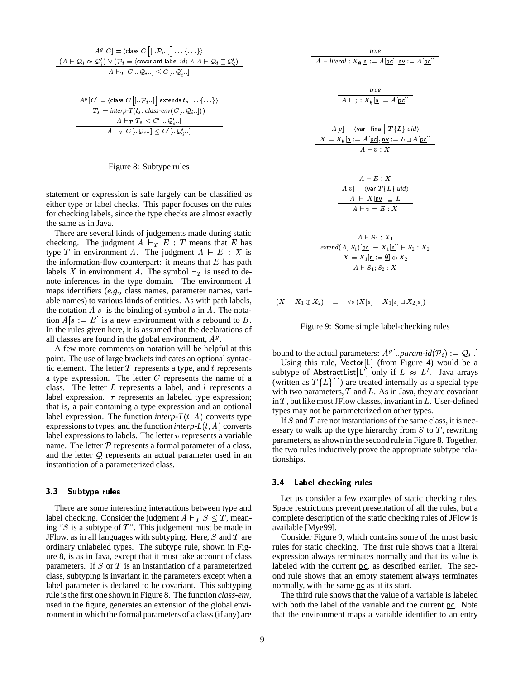$$
A^g[C] = \langle \text{class } C \big[ [., \mathcal{P}_i..] \big] \dots \{ \dots \} \rangle
$$
  

$$
(A \vdash \mathcal{Q}_i \approx \mathcal{Q}'_i) \lor (\mathcal{P}_i = \langle \text{covariant label } id \rangle \land A \vdash \mathcal{Q}_i \sqsubseteq \mathcal{Q}'_i)
$$
  

$$
A \vdash_T C[., \mathcal{Q}_i..] \leq C[., \mathcal{Q}'_i..]
$$

$$
Ag[C] = \langle \text{class } C \big[ [..P_i..] \big] \text{ extends } t_s \dots \{...\} \rangle
$$
  
\n
$$
T_s = interp \cdot T(t_s, class\text{-}env(C[..Q_i..]))
$$
  
\n
$$
A \vdash_T T_s \leq C' [..Q'_i..]
$$
  
\n
$$
A \vdash_T C[..Q_i..] \leq C' [..Q'_i..]
$$

#### Figure 8: Subtype rules

statement or expression is safe largely can be classified as either type or label checks. This paper focuses on the rules for checking labels, since the type checks are almost exactly the same as in Java.

There are several kinds of judgements made during static checking. The judgment  $A \vdash_T E : T$  means that E has type T in environment A. The judgment  $A \vdash E : X$  is the information-flow counterpart: it means that  $E$  has path labels X in environment A. The symbol  $\vdash_T$  is used to denote inferences in the type domain. The environment A maps identifiers (*e.g.*, class names, parameter names, variable names) to various kinds of entities. As with path labels, the notation  $A[s]$  is the binding of symbol s in A. The notation  $A[s := B]$  is a new environment with s rebound to B. In the rules given here, it is assumed that the declarations of all classes are found in the global environment,  $A<sup>g</sup>$ .

A few more comments on notation will be helpful at this point. The use of large brackets indicates an optional syntactic element. The letter  $T$  represents a type, and  $t$  represents a type expression. The letter  $C$  represents the name of a class. The letter  $L$  represents a label, and  $l$  represents a label expression.  $\tau$  represents an labeled type expression; that is, a pair containing a type expression and an optional label expression. The function *interp-T* $(t, A)$  converts type expressions to types, and the function *interp-L*(l; A) converts label expressions to labels. The letter  $v$  represents a variable name. The letter  $P$  represents a formal parameter of a class, and the letter Q represents an actual parameter used in an instantiation of a parameterized class.

#### 3.3 Subtype rules

There are some interesting interactions between type and label checking. Consider the judgment  $A \vdash_T S \leq T$ , meaning " $S$  is a subtype of  $T$ ". This judgement must be made in JFlow, as in all languages with subtyping. Here,  $S$  and  $T$  are ordinary unlabeled types. The subtype rule, shown in Figure 8, is as in Java, except that it must take account of class parameters. If  $S$  or  $T$  is an instantiation of a parameterized class, subtyping is invariant in the parameters except when a label parameter is declared to be covariant. This subtyping rule is the first one shown in Figure 8. The function *class-env*, used in the figure, generates an extension of the global environment in which the formal parameters of a class (if any) are

| true                                                                                                        |  |
|-------------------------------------------------------------------------------------------------------------|--|
| $A \vdash literal : X_{\emptyset}[\underline{n} := A[\underline{pc}], \underline{nv} := A[\underline{pc}]]$ |  |
|                                                                                                             |  |
| true                                                                                                        |  |
| $A \vdash$ ; : $X_{\emptyset}$ [n : = A[pc]]                                                                |  |
|                                                                                                             |  |
| $A[v] = \langle$ var   final $T\{L\}$ uid $\rangle$                                                         |  |
|                                                                                                             |  |
| $X = X_{\emptyset}$ [n := A[pc], nv := $L \sqcup A[pc]$ ]                                                   |  |
| $A \vdash v : X$                                                                                            |  |
|                                                                                                             |  |
|                                                                                                             |  |
| $A \vdash E : X$                                                                                            |  |
| $A[v] = \langle$ var $T\{L\}$ uid $\rangle$                                                                 |  |
|                                                                                                             |  |
| $A \vdash X$ [nv] $\sqsubset L$                                                                             |  |
| $A \vdash v = E : X$                                                                                        |  |
|                                                                                                             |  |
|                                                                                                             |  |
| $A \vdash S_1 : X_1$                                                                                        |  |
| $extend(A, S_1)[\underline{pc} := X_1[\underline{n}] \vdash S_2 : X_2$                                      |  |
| $X = X_1   \underline{\mathsf{n}} := \underline{\emptyset} \oplus X_2$                                      |  |
| $A \vdash S_1; S_2 : X$                                                                                     |  |

 $(X = X_1 \oplus X_2) \equiv \forall s (X[s] = X_1[s] \sqcup X_2[s])$ 



bound to the actual parameters:  $A^g$  [...*param-id*( $\mathcal{P}_i$ ) :=  $\mathcal{Q}_i$ ...]

Using this rule, Vector<sup>[L]</sup> (from Figure 4) would be a subtype of AbstractList[L'] only if  $L \approx L'$ . Java arrays (written as  $T\{L\}$ ]) are treated internally as a special type with two parameters,  $T$  and  $L$ . As in Java, they are covariant in  $T$ , but like most JFlow classes, invariant in  $L$ . User-defined types may not be parameterized on other types.

If  $S$  and  $T$  are not instantiations of the same class, it is necessary to walk up the type hierarchy from  $S$  to  $T$ , rewriting parameters, as shown in the second rule in Figure 8. Together, the two rules inductively prove the appropriate subtype relationships.

#### $3.4$ Label-checking rules

Let us consider a few examples of static checking rules. Space restrictions prevent presentation of all the rules, but a complete description of the static checking rules of JFlow is available [Mye99].

Consider Figure 9, which contains some of the most basic rules for static checking. The first rule shows that a literal expression always terminates normally and that its value is labeled with the current pc, as described earlier. The second rule shows that an empty statement always terminates normally, with the same pc as at its start.

The third rule shows that the value of a variable is labeled with both the label of the variable and the current pc. Note that the environment maps a variable identifier to an entry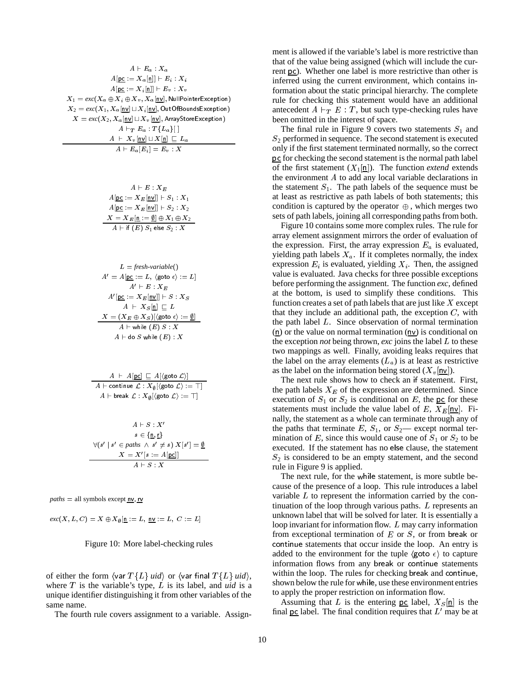$$
A \vdash E_a : X_a
$$
\n
$$
A[\underline{\mathbf{p}}\underline{\mathbf{c}} := X_a[\underline{\mathbf{n}}]] \vdash E_i : X_i
$$
\n
$$
A[\underline{\mathbf{p}}\underline{\mathbf{c}} := X_i[\underline{\mathbf{n}}]] \vdash E_v : X_v
$$
\n
$$
X_1 = exc(X_a \oplus X_i \oplus X_v, X_a[\underline{\mathbf{n}}\underline{\mathbf{v}}], \text{NullPointerException)}
$$
\n
$$
X_2 = exc(X_1, X_a[\underline{\mathbf{n}}\underline{\mathbf{v}}] \sqcup X_i[\underline{\mathbf{n}}\underline{\mathbf{v}}], \text{OutOfBoundsException})
$$
\n
$$
X = exc(X_2, X_a[\underline{\mathbf{n}}\underline{\mathbf{v}}] \sqcup X_v[\underline{\mathbf{n}}\underline{\mathbf{v}}], \text{ArrayStoreException})
$$
\n
$$
A \vdash_T E_a : T\{L_a\}[\ ]
$$
\n
$$
A \vdash X_v[\underline{\mathbf{n}}\underline{\mathbf{v}}] \sqcup X[\underline{\mathbf{n}}] \sqsubseteq L_a
$$
\n
$$
A \vdash E_a[E_i] = E_v : X
$$

$$
A \vdash E : X_E
$$
  
\n
$$
A[\underline{\mathbf{p}}\underline{c} := X_E[\underline{\mathbf{n}}\underline{v}]] \vdash S_1 : X_1
$$
  
\n
$$
A[\underline{\mathbf{p}}\underline{c} := X_E[\underline{\mathbf{n}}\underline{v}]] \vdash S_2 : X_2
$$
  
\n
$$
X = X_E[\underline{\mathbf{n}} := \underline{\emptyset}] \oplus X_1 \oplus X_2
$$
  
\n
$$
A \vdash \text{if } (E) S_1 \text{ else } S_2 : X
$$

$$
L = fresh\text{-}variable()
$$
  
\n
$$
A' = A[\underline{pc} := L, \langle \text{goto } \epsilon \rangle := L]
$$
  
\n
$$
A' \vdash E : X_E
$$
  
\n
$$
A'[\underline{pc} := X_E[\underline{m}]] \vdash S : X_S
$$
  
\n
$$
A \vdash X_S[\underline{n}] \sqsubseteq L
$$
  
\n
$$
X = (X_E \oplus X_S)[\langle \text{goto } \epsilon \rangle := \underline{\emptyset}]
$$
  
\n
$$
A \vdash \text{while } (E) \cdot S : X
$$
  
\n
$$
A \vdash \text{do } S \text{ while } (E) : X
$$

$$
A \vdash A[\underline{\mathsf{pc}}] \sqsubseteq A[\langle \mathsf{goto} \ \mathcal{L} \rangle] \\
A \vdash \mathsf{continue} \ \mathcal{L} : X_{\emptyset}[\langle \mathsf{goto} \ \mathcal{L} \rangle := \top] \\
A \vdash \mathsf{break} \ \mathcal{L} : X_{\emptyset}[\langle \mathsf{goto} \ \mathcal{L} \rangle := \top]
$$

$$
A \vdash S : X'
$$
  
\n
$$
s \in \{\underline{n}, \underline{r}\}
$$
  
\n
$$
\forall (s' \mid s' \in paths \land s' \neq s) \ X[s'] = \underline{\emptyset}
$$
  
\n
$$
X = X'[s := A[\underline{pc}]]
$$
  
\n
$$
A \vdash S : X
$$

 $paths = all symbols except nv, rv$ 

$$
\mathit{exc}(X,L,C)=X\oplus X_\emptyset[\underline{\mathsf{n}}:=L,\ \underline{\mathsf{n}\mathsf{v}}:=L,\ C:=L]
$$

Figure 10: More label-checking rules

of either the form  $\langle \text{var } T\{L\} \text{ }uid \rangle$  or  $\langle \text{var } \text{final } T\{L\} \text{ }uid \rangle$ , where T is the variable's type, L is its label, and *uid* is a unique identifier distinguishing it from other variables of the same name.

The fourth rule covers assignment to a variable. Assign-

ment is allowed if the variable's label is more restrictive than that of the value being assigned (which will include the current pc). Whether one label is more restrictive than other is inferred using the current environment, which contains information about the static principal hierarchy. The complete rule for checking this statement would have an additional antecedent  $A \vdash_T E : T$ , but such type-checking rules have been omitted in the interest of space.

The final rule in Figure 9 covers two statements  $S_1$  and  $S_2$  performed in sequence. The second statement is executed only if the first statement terminated normally, so the correct pc for checking the second statement is the normal path label of the first statement  $(X_1[\underline{n}])$ . The function *extend* extends the environment  $A$  to add any local variable declarations in the statement  $S_1$ . The path labels of the sequence must be at least as restrictive as path labels of both statements; this condition is captured by the operator  $\oplus$ , which merges two sets of path labels, joining all corresponding paths from both.

Figure 10 contains some more complex rules. The rule for array element assignment mirrors the order of evaluation of the expression. First, the array expression  $E_a$  is evaluated, yielding path labels  $X_a$ . If it completes normally, the index expression  $E_i$  is evaluated, yielding  $X_i$ . Then, the assigned value is evaluated. Java checks for three possible exceptions before performing the assignment. The function *exc*, defined at the bottom, is used to simplify these conditions. This function creates a set of path labels that are just like  $X$  except that they include an additional path, the exception  $C$ , with the path label L. Since observation of normal termination (n) or the value on normal termination (nv) is conditional on the exception *not* being thrown, *exc* joins the label L to these two mappings as well. Finally, avoiding leaks requires that the label on the array elements  $(L_a)$  is at least as restrictive as the label on the information being stored  $(X_v \cdot \text{nv})$ .

The next rule shows how to check an if statement. First, the path labels  $X_E$  of the expression are determined. Since execution of  $S_1$  or  $S_2$  is conditional on E, the pc for these statements must include the value label of E,  $X_{E}$ [nv]. Finally, the statement as a whole can terminate through any of the paths that terminate  $E$ ,  $S_1$ , or  $S_2$ — except normal termination of E, since this would cause one of  $S_1$  or  $S_2$  to be executed. If the statement has no else clause, the statement  $S_2$  is considered to be an empty statement, and the second rule in Figure 9 is applied.

The next rule, for the while statement, is more subtle because of the presence of a loop. This rule introduces a label variable  $L$  to represent the information carried by the continuation of the loop through various paths. L represents an unknown label that will be solved for later. It is essentially a loop invariant for information flow. L may carry information from exceptional termination of  $E$  or  $S$ , or from break or continue statements that occur inside the loop. An entry is added to the environment for the tuple  $\langle$  goto  $\epsilon$  to capture information flows from any break or continue statements within the loop. The rules for checking break and continue, shown below the rule for while, use these environment entries to apply the proper restriction on information flow.

Assuming that L is the entering pc label,  $X_S[n]$  is the final  $p c$  label. The final condition requires that  $L'$  may be at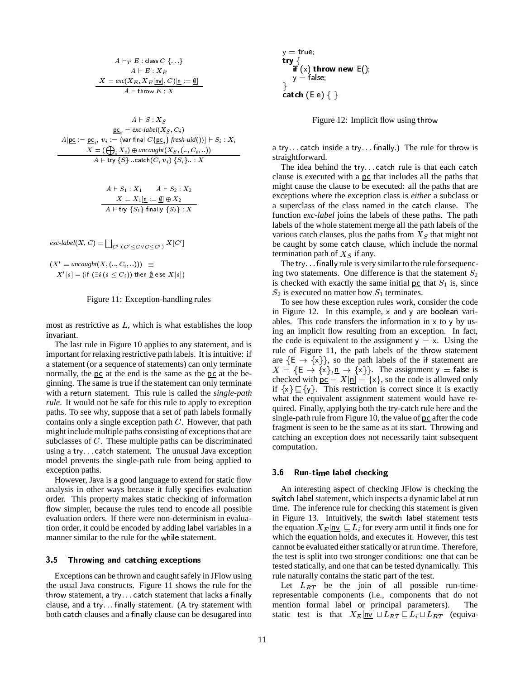$$
A \vdash_T E : \text{class } C \{ \dots \}
$$
  

$$
A \vdash E : X_E
$$
  

$$
X = exc(X_E, X_E \text{ [n]}], C) \text{ [n := d]}
$$
  

$$
A \vdash \text{throw } E : X
$$

$$
A \vdash S : X_S
$$
  
\n
$$
\underline{pc}_i = exc\text{-}label}(X_S, C_i)
$$
  
\n
$$
A[\underline{pc} := \underline{pc}_i, v_i := \langle \text{var final } C\{\underline{pc}_i\} \text{} fresh\text{-}uid()\rangle] \vdash S_i : X_i
$$
  
\n
$$
X = (\bigoplus_i X_i) \oplus uncaught(X_S, (..., C_i, ...))
$$
  
\n
$$
A \vdash \text{try } \{S\} \text{} ... catch (C_i \ v_i) \{S_i\} ... : X
$$

$$
A \vdash S_1 : X_1 \qquad A \vdash S_2 : X_2
$$

$$
X = X_1[\underline{n} := \underline{\emptyset} \oplus X_2
$$

$$
A \vdash \text{try } \{S_1\} \text{ finally } \{S_2\} : X
$$

 $\mathit{exc}\text{-}label(X,C)=\bigsqcup_{C':(C'$ 

 $(X' = uncaught(X, (..., C_i, ...))) \equiv$  $X'[s] = (if (\exists i (s \leq C_i))$  then  $\underline{\emptyset}$  else  $X[s])$ 

#### Figure 11: Exception-handling rules

most as restrictive as  $L$ , which is what establishes the loop invariant.

The last rule in Figure 10 applies to any statement, and is important for relaxing restrictive path labels. It is intuitive: if a statement (or a sequence of statements) can only terminate normally, the pc at the end is the same as the pc at the beginning. The same is true if the statement can only terminate with a return statement. This rule is called the *single-path rule*. It would not be safe for this rule to apply to exception paths. To see why, suppose that a set of path labels formally contains only a single exception path <sup>C</sup>. However, that path might include multiple paths consisting of exceptions that are subclasses of C. These multiple paths can be discriminated using a try...catch statement. The unusual Java exception model prevents the single-path rule from being applied to exception paths.

However, Java is a good language to extend for static flow analysis in other ways because it fully specifies evaluation order. This property makes static checking of information flow simpler, because the rules tend to encode all possible evaluation orders. If there were non-determinism in evaluation order, it could be encoded by adding label variables in a manner similar to the rule for the while statement.

#### 3.5 Throwing and catching exceptions

Exceptions can be thrown and caught safely in JFlow using the usual Java constructs. Figure 11 shows the rule for the throw statement, a try... catch statement that lacks a finally clause, and a try... finally statement. (A try statement with both catch clauses and a finally clause can be desugared into  $y = true;$ try  $\{$ for the contract of the contract of the contract of the contract of the contract of the contract of the contract of the contract of the contract of the contract of the contract of the contract of the contract of the contra if  $(x)$  throw new  $E()$ ;  $y = false;$ graduate and the contract of the contract of the contract of the contract of the contract of the contract of the contract of the contract of the contract of the contract of the contract of the contract of the contract of t catch  $(E e) \{ \}$ 



a try... catch inside a try... finally.) The rule for throw is straightforward.

The idea behind the try...catch rule is that each catch clause is executed with a pc that includes all the paths that might cause the clause to be executed: all the paths that are exceptions where the exception class is *either* a subclass or a superclass of the class named in the catch clause. The function *exc-label* joins the labels of these paths. The path labels of the whole statement merge all the path labels of the various catch clauses, plus the paths from  $X<sub>S</sub>$  that might not be caught by some catch clause, which include the normal termination path of  $X<sub>S</sub>$  if any.

The try... finally rule is very similar to the rule for sequencing two statements. One difference is that the statement  $S_2$ is checked with exactly the same initial  $pc$  that  $S_1$  is, since  $S_2$  is executed no matter how  $S_1$  terminates.

To see how these exception rules work, consider the code in Figure 12. In this example, x and y are boolean variables. This code transfers the information in x to y by using an implicit flow resulting from an exception. In fact, the code is equivalent to the assignment  $y = x$ . Using the rule of Figure 11, the path labels of the throw statement are  $\{E \rightarrow \{x\}\}\$ , so the path labels of the if statement are  $X = \{E \rightarrow \{x\}, \underline{n} \rightarrow \{x\}\}\.$  The assignment y = false is checked with  $p c = X[n] = \{x\}$ , so the code is allowed only if  $\{x\} \sqsubset \{y\}$ . This restriction is correct since it is exactly what the equivalent assignment statement would have required. Finally, applying both the try-catch rule here and the single-path rule from Figure 10, the value of  $p_c$  after the code fragment is seen to be the same as at its start. Throwing and catching an exception does not necessarily taint subsequent computation.

#### 3.6 Run-time label checking

An interesting aspect of checking JFlow is checking the switch label statement, which inspects a dynamic label at run time. The inference rule for checking this statement is given in Figure 13. Intuitively, the switch label statement tests the equation  $X_E[nv] \sqsubseteq L_i$  for every arm until it finds one for which the equation holds, and executes it. However, this test cannot be evaluated either statically or at run time. Therefore, the test is split into two stronger conditions: one that can be tested statically, and one that can be tested dynamically. This rule naturally contains the static part of the test.

Let  $L_{RT}$  be the join of all possible run-timerepresentable components (i.e., components that do not mention formal label or principal parameters). The static test is that  $X_E[\underline{{\sf nv}}] \sqcup L_{RT} \sqsubseteq L_i \sqcup L_{RT}$  (equiva-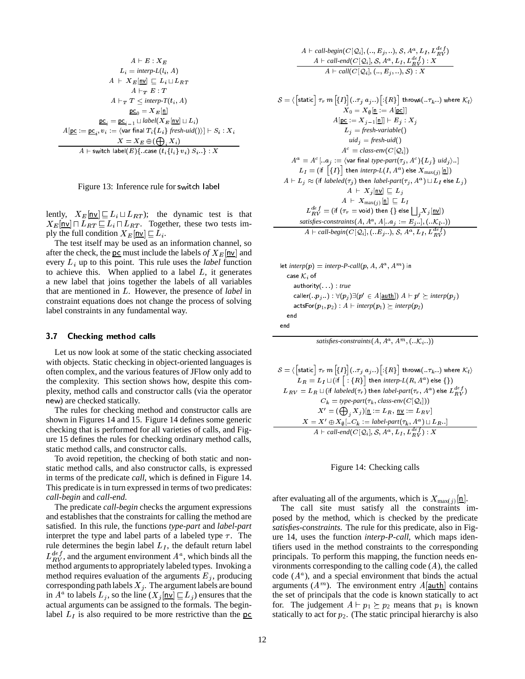$$
A \vdash E : X_E
$$
\n
$$
L_i = interp \cdot L(l_i, A)
$$
\n
$$
A \vdash X_E \underline{[n\mathbf{v}]} \subseteq L_i \sqcup L_{RT}
$$
\n
$$
A \vdash_T E : T
$$
\n
$$
A \vdash_T T \leq interp \cdot T(t_i, A)
$$
\n
$$
\underline{bc}_0 = X_E \underline{[n]}
$$
\n
$$
\underline{bc}_i = \underline{bc}_{i-1} \sqcup label(X_E \underline{[n\mathbf{v}]} \sqcup L_i)
$$
\n
$$
A[\underline{pc} := \underline{pc}_i, v_i := \langle \text{var final } T_i \{L_i\} \text{ fresh-uid(\rangle)] \vdash S_i : X_i
$$
\n
$$
X = X_E \oplus (\bigoplus_i X_i)
$$
\n
$$
A \vdash \text{switch label}(E) \{ \text{...case } (t_i \{l_i\} \ v_i) \ S_i .. \} : X
$$



lently,  $X_E[\text{nv}] \sqsubseteq L_i \sqcup L_{RT}$ ; the dynamic test is that  $X_E[\text{nv}] \sqcap L_{RT} \sqsubseteq L_i \sqcap L_{RT}$ . Together, these two tests imply the full condition  $X_E[nv] \sqsubseteq L_i$ .

The test itself may be used as an information channel, so after the check, the <u>pc</u> must include the labels of  $X_{E}$ [nv] and every  $L_i$  up to this point. This rule uses the *label* function to achieve this. When applied to a label  $L$ , it generates a new label that joins together the labels of all variables that are mentioned in L. However, the presence of *label* in constraint equations does not change the process of solving label constraints in any fundamental way.

#### 3.7 Checking method calls

Let us now look at some of the static checking associated with objects. Static checking in object-oriented languages is often complex, and the various features of JFlow only add to the complexity. This section shows how, despite this complexity, method calls and constructor calls (via the operator new) are checked statically.

The rules for checking method and constructor calls are shown in Figures 14 and 15. Figure 14 defines some generic checking that is performed for all varieties of calls, and Figure 15 defines the rules for checking ordinary method calls, static method calls, and constructor calls.

To avoid repetition, the checking of both static and nonstatic method calls, and also constructor calls, is expressed in terms of the predicate *call*, which is defined in Figure 14. This predicate is in turn expressed in terms of two predicates: *call-begin* and *call-end*.

The predicate *call-begin* checks the argument expressions and establishes that the constraints for calling the method are satisfied. In this rule, the functions *type-part* and *label-part* interpret the type and label parts of a labeled type  $\tau$ . The rule determines the begin label  $L_I$ , the default return label  $L_{RV}^{def}$ , and the argument environment  $A^a$ , which binds all the method arguments to appropriately labeled types. Invoking a method requires evaluation of the arguments  $E_i$ , producing corresponding path labels  $X_i$ . The argument labels are bound in  $A^a$  to labels  $L_j$ , so the line  $(X_j[\underline{\mathsf{nv}}] \sqsubseteq L_j)$  ensures that the actual arguments can be assigned to the formals. The beginlabel  $L_I$  is also required to be more restrictive than the pc

| $A \vdash call\text{-}begin(C[\mathcal{Q}_i], , E_j, ), S, A^a, L_I, L_{BV}^{def})$    |  |
|----------------------------------------------------------------------------------------|--|
| $A \vdash \textit{call-end}(C[\mathcal{Q}_i], \mathcal{S}, A^a, L_I, L_{BV}^{def}): X$ |  |
| $A \vdash \text{call}(C[\mathcal{Q}_i], (., E_j, .), S) : X$                           |  |

$$
\mathcal{S} = \langle \begin{bmatrix} \text{static} \end{bmatrix} \tau_r \ m \begin{bmatrix} \{I\} \end{bmatrix} (\ldots \tau_j \ a_j \ldots) \begin{bmatrix} : \{R\} \end{bmatrix} \text{ throws}(\ldots \tau_k \ldots) \text{ where } \mathcal{K}_l \rangle
$$
\n
$$
X_0 = X_{\emptyset} \boxed{n} := A[\underline{\text{pc}}]
$$
\n
$$
A[\underline{\text{pc}} := X_{j-1} \boxed{n}] \vdash E_j : X_j
$$
\n
$$
L_j = \text{fresh-variable}()
$$
\n
$$
uid_j = \text{fresh-id}()
$$
\n
$$
A^a = A^c[\ldots a_j := \langle \text{var final type-part}(\tau_j, A^c) \{L_j\} \ u id_j \rangle \ldots]
$$
\n
$$
L_I = (\text{if } \begin{bmatrix} \{I\} \end{bmatrix} \text{ then } \text{interp-L}(I, A^a) \text{ else } X_{\text{max}(j)} \boxed{n}]
$$
\n
$$
A \vdash L_j \approx (\text{if labeled } (\tau_j) \text{ then } \text{label-part} (\tau_j, A^a) \sqcup L_I \text{ else } L_j)
$$
\n
$$
A \vdash X_{\text{max}(j)} \boxed{n} \sqsubseteq L_j
$$
\n
$$
L_R^{def} = (\text{if } (\tau_r = \text{void}) \text{ then } \{\} \text{ else } \boxed{j} X_j \boxed{n \nu}]
$$
\n
$$
\text{ satisfies-constraints}(A, A^a, A[\ldots a_j := E_j \ldots], (\ldots K_l \ldots))
$$
\n
$$
A \vdash \text{call-begin} (\text{C}[\mathcal{Q}_i], (\ldots E_j \ldots), \mathcal{S}, A^a, L_I, L_R^{def})
$$

let *interp*(*p*) = *interp-P-call*(*p*, *A*, *A*<sup>*a*</sup>, *A*<sup>*m*</sup>) in  
\ncase 
$$
K_i
$$
 of  
\n
$$
authority(...): true
$$
\ncaller(..*p<sub>j</sub>..):  $\forall (p_j) \exists (p' \in A[\underline{auth}]) \ A \vdash p' \succeq interp(p_j)$ \n
$$
actsFor(p_1, p_2): A \vdash interp(p_1) \succeq interp(p_2)
$$
\n
$$
end
$$
\nend*

 $satisfies-constraints(A, A^a, A^m, (...\mathcal{K}_i..))$ 

the contract of the contract of the contract of the contract of the contract of

-

$$
\mathcal{S} = \langle \begin{bmatrix} \text{static} \\ \tau_r \ m \end{bmatrix} \begin{bmatrix} I \end{bmatrix} \begin{bmatrix} \ldots \tau_j \ a_j \ldots \end{bmatrix} \begin{bmatrix} \cdot \{R\} \end{bmatrix} \text{ throws}(\ldots \tau_k \ldots) \text{ where } \mathcal{K}_l \rangle
$$
\n
$$
L_R = L_I \sqcup (\text{if } \begin{bmatrix} \cdot \{R\} \end{bmatrix} \text{ then } interp-L(R, A^a) \text{ else } \{\})
$$
\n
$$
L_{RV} = L_R \sqcup (\text{if } labeled(\tau_r) \text{ then } label-part(\tau_r, A^a) \text{ else } L_{RV}^{def})
$$
\n
$$
C_k = type-part(\tau_k, class-env(C[\mathcal{Q}_i]))
$$
\n
$$
X' = (\bigoplus_j X_j)[\underline{n} := L_R, \underline{n}y := L_{RV}]
$$
\n
$$
X = X' \oplus X_\emptyset [\ldots C_k := label-part(\tau_k, A^a) \sqcup L_R \ldots]
$$
\n
$$
A \vdash call-end(C[\mathcal{Q}_i], S, A^a, L_I, L_{RV}^{def}) : X
$$

the contract of the contract of the contract of the contract of the contract of the contract of the contract of

### Figure 14: Checking calls

after evaluating all of the arguments, which is  $X_{\max(j)}[\underline{n}].$ 

The call site must satisfy all the constraints imposed by the method, which is checked by the predicate *satisfies-constraints*. The rule for this predicate, also in Figure 14, uses the function *interp-P-call*, which maps identifiers used in the method constraints to the corresponding principals. To perform this mapping, the function needs environments corresponding to the calling code  $(A)$ , the called code  $(A^a)$ , and a special environment that binds the actual arguments  $(A^m)$ . The environment entry  $A[\underline{\text{auth}}]$  contains the set of principals that the code is known statically to act for. The judgement  $A \vdash p_1 \succeq p_2$  means that  $p_1$  is known statically to act for  $p_2$ . (The static principal hierarchy is also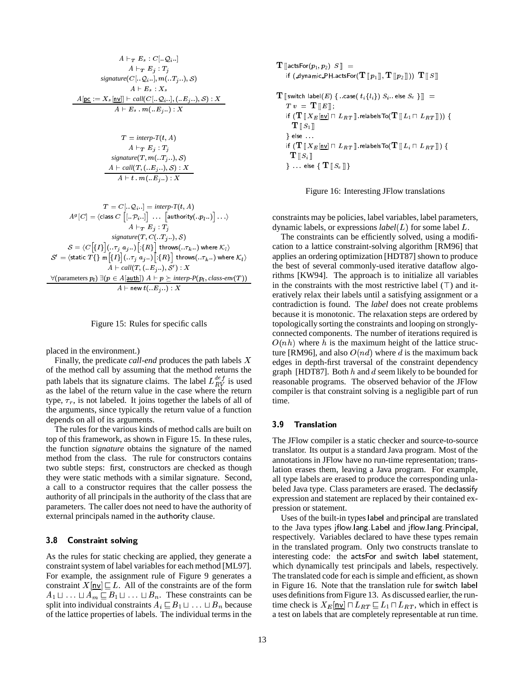$$
A \vdash_T E_s : C[..\, Q_i..]
$$
  
\n
$$
A \vdash_T E_j : T_j
$$
  
\n
$$
signature(C[..\, Q_i..], m(..\, T_j..), S)
$$
  
\n
$$
A \vdash E_s : X_s
$$
  
\n
$$
A[\underline{pc} := X_s[\underline{m}]] \vdash call(C[..\, Q_i..], (..\, E_j..), S) : X
$$
  
\n
$$
A \vdash E_s \cdot m(..\, E_j..) : X
$$

$$
T = interp \cdot T(t, A)
$$
  
\n
$$
A \vdash_T E_j : T_j
$$
  
\nsignature $(T, m(. \cdot T_j . .), S)$   
\n
$$
A \vdash call(T, (. . E_j . .), S) : X
$$
  
\n
$$
A \vdash t . m(. . E_j . .) : X
$$

$$
T = C[..Q_i..] = interp \cdot T(t, A)
$$
  
\n
$$
A^{g}[C] = \langle \text{class } C \left[ [..P_i..] \right] \dots \left[ \text{authority}(:,p_{l}..) \right] \dots \rangle
$$
  
\n
$$
A \vdash_T E_j : T_j
$$
  
\n
$$
signature(T, C(..T_j..), S)
$$
  
\n
$$
S = \langle C \left[ \{ I \} \right] (.r_j a_j..) \left[ : \{ R \} \right] \text{ throws}(.r_k..) \text{ where } \mathcal{K}_l \rangle
$$
  
\n
$$
S' = \langle \text{static } T \{ \} \text{ m} \left[ \{ I \} \right] (.r_j a_j..) \left[ : \{ R \} \right] \text{ throws}(.r_k..) \text{ where } \mathcal{K}_l \rangle
$$
  
\n
$$
A \vdash call(T, (.E_j..), S') : X
$$
  
\n
$$
\forall \text{parameters } p_l \} \exists (p \in A[\underline{\text{auth}}]) \ A \vdash p \succeq interp \cdot P(p_l, class\text{-env}(T))
$$
  
\n
$$
A \vdash \text{new } t(.E_j..) : X
$$



placed in the environment.)

Finally, the predicate *call-end* produces the path labels <sup>X</sup> of the method call by assuming that the method returns the path labels that its signature claims. The label  $L_{RV}^{def}$  is used as the label of the return value in the case where the return type,  $\tau_r$ , is not labeled. It joins together the labels of all of the arguments, since typically the return value of a function depends on all of its arguments.

The rules for the various kinds of method calls are built on top of this framework, as shown in Figure 15. In these rules, the function *signature* obtains the signature of the named method from the class. The rule for constructors contains two subtle steps: first, constructors are checked as though they were static methods with a similar signature. Second, a call to a constructor requires that the caller possess the authority of all principals in the authority of the class that are parameters. The caller does not need to have the authority of external principals named in the authority clause.

## 3.8 Constraint solving

As the rules for static checking are applied, they generate a constraint system of label variables for each method [ML97]. For example, the assignment rule of Figure 9 generates a constraint  $X[nv] \sqsubset L$ . All of the constraints are of the form  $A_1 \sqcup \ldots \sqcup A_m \sqsubseteq B_1 \sqcup \ldots \sqcup B_n$ . These constraints can be split into individual constraints  $A_i \sqsubseteq B_1 \sqcup \ldots \sqcup B_n$  because of the lattice properties of labels. The individual terms in the

$$
\begin{aligned} &\mathbf{T}\left[\left\Vert \text{actsFor}(p_1,p_2)\right\rangle \ S\right]\right. = \\ & \text{if}\,\,\left(\text{dynamic\_PH}.\text{actsFor}(\mathbf{T}\left[\!\left\Vert p_1\right\Vert\!\right),\mathbf{T}\left[\!\left\Vert p_2\right\Vert\!\right))\right)\,\mathbf{T}\left[\!\left\Vert S\right\Vert\!\right] \\ & \text{ }\mathbf{T}\left[\!\left\Vert \text{switch } \right\Vert \text{able}(\boldsymbol{E})\left\{ \right. .\text{case}(\,t_i\{l_i\})\,\boldsymbol{S}_i..\,\text{else}\,\boldsymbol{S}_e\,\}\right]\right]\right. = \\ & \text{if}\,\,\left(\mathbf{T}\left[\!\left\Vert \boldsymbol{X}_{E}\left[\underline{\mathbf{m}}\right]\cap\boldsymbol{L}_{RT}\right]\!\right).\text{relabelsTo}(\mathbf{T}\left[\!\left\Vert \boldsymbol{L}_1\sqcap\boldsymbol{L}_{RT}\right]\!\right)\right)\left\{ \right. \\ & \text{ }\mathbf{T}\left[\!\left\Vert \boldsymbol{S}_1\right]\right] \\ & \text{ } \right\} \text{ else } \dots \\ & \text{if}\,\,\left(\mathbf{T}\left[\!\left\Vert \boldsymbol{X}_{E}\left[\underline{\mathbf{m}}\right]\sqcap\boldsymbol{L}_{RT}\right]\!\right).\text{relabelsTo}(\mathbf{T}\left[\!\left\Vert \boldsymbol{L}_i\sqcap\boldsymbol{L}_{RT}\right]\!\right)\right)\left\{ \right. \\ & \text{ }\mathbf{T}\left[\!\left\Vert \boldsymbol{S}_i\right]\right] \\ & \text{ } \right\} \dots \text{ else } \left\{ \right. \mathbf{T}\left[\!\left\Vert \boldsymbol{S}_e\right]\right]\right\} \end{aligned}
$$



constraints may be policies, label variables, label parameters, dynamic labels, or expressions *label*(L) for some label <sup>L</sup>.

The constraints can be efficiently solved, using a modification to a lattice constraint-solving algorithm [RM96] that applies an ordering optimization [HDT87] shown to produce the best of several commonly-used iterative dataflow algorithms [KW94]. The approach is to initialize all variables in the constraints with the most restrictive label  $(T)$  and iteratively relax their labels until a satisfying assignment or a contradiction is found. The *label* does not create problems because it is monotonic. The relaxation steps are ordered by topologically sorting the constraints and looping on stronglyconnected components. The number of iterations required is  $O(nh)$  where h is the maximum height of the lattice structure [RM96], and also  $O(nd)$  where d is the maximum back edges in depth-first traversal of the constraint dependency graph [HDT87]. Both  $h$  and  $d$  seem likely to be bounded for reasonable programs. The observed behavior of the JFlow compiler is that constraint solving is a negligible part of run time.

#### $3.9$ **Translation**

The JFlow compiler is a static checker and source-to-source translator. Its output is a standard Java program. Most of the annotations in JFlow have no run-time representation; translation erases them, leaving a Java program. For example, all type labels are erased to produce the corresponding unlabeled Java type. Class parameters are erased. The declassify expression and statement are replaced by their contained expression or statement.

Uses of the built-in types label and principal are translated to the Java types jflow lang. Label and jflow lang Principal, respectively. Variables declared to have these types remain in the translated program. Only two constructs translate to interesting code: the actsFor and switch label statement, which dynamically test principals and labels, respectively. The translated code for each is simple and efficient, as shown in Figure 16. Note that the translation rule for switch label uses definitions from Figure 13. As discussed earlier, the runtime check is  $X_E$ [nv]  $\Box$   $L_{RT}$   $\Box$   $L_{RT}$ , which in effect is a test on labels that are completely representable at run time.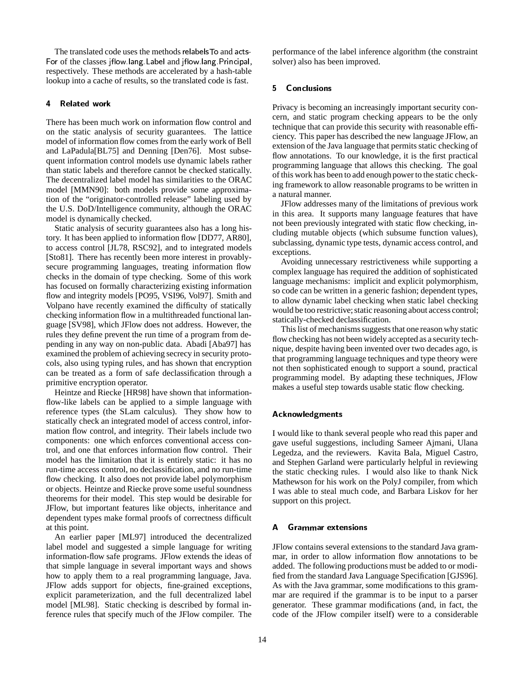The translated code uses the methods relabelsTo and acts-For of the classes jflow lang Label and jflow lang Principal, respectively. These methods are accelerated by a hash-table lookup into a cache of results, so the translated code is fast.

## 4 Related work

There has been much work on information flow control and on the static analysis of security guarantees. The lattice model of information flow comes from the early work of Bell and LaPadula[BL75] and Denning [Den76]. Most subsequent information control models use dynamic labels rather than static labels and therefore cannot be checked statically. The decentralized label model has similarities to the ORAC model [MMN90]: both models provide some approximation of the "originator-controlled release" labeling used by the U.S. DoD/Intelligence community, although the ORAC model is dynamically checked.

Static analysis of security guarantees also has a long history. It has been applied to information flow [DD77, AR80], to access control [JL78, RSC92], and to integrated models [Sto81]. There has recently been more interest in provablysecure programming languages, treating information flow checks in the domain of type checking. Some of this work has focused on formally characterizing existing information flow and integrity models [PO95, VSI96, Vol97]. Smith and Volpano have recently examined the difficulty of statically checking information flow in a multithreaded functional language [SV98], which JFlow does not address. However, the rules they define prevent the run time of a program from depending in any way on non-public data. Abadi [Aba97] has examined the problem of achieving secrecy in security protocols, also using typing rules, and has shown that encryption can be treated as a form of safe declassification through a primitive encryption operator.

Heintze and Riecke [HR98] have shown that informationflow-like labels can be applied to a simple language with reference types (the SLam calculus). They show how to statically check an integrated model of access control, information flow control, and integrity. Their labels include two components: one which enforces conventional access control, and one that enforces information flow control. Their model has the limitation that it is entirely static: it has no run-time access control, no declassification, and no run-time flow checking. It also does not provide label polymorphism or objects. Heintze and Riecke prove some useful soundness theorems for their model. This step would be desirable for JFlow, but important features like objects, inheritance and dependent types make formal proofs of correctness difficult at this point.

An earlier paper [ML97] introduced the decentralized label model and suggested a simple language for writing information-flow safe programs. JFlow extends the ideas of that simple language in several important ways and shows how to apply them to a real programming language, Java. JFlow adds support for objects, fine-grained exceptions, explicit parameterization, and the full decentralized label model [ML98]. Static checking is described by formal inference rules that specify much of the JFlow compiler. The

performance of the label inference algorithm (the constraint solver) also has been improved.

## 5 Conclusions

Privacy is becoming an increasingly important security concern, and static program checking appears to be the only technique that can provide this security with reasonable efficiency. This paper has described the new language JFlow, an extension of the Java language that permits static checking of flow annotations. To our knowledge, it is the first practical programming language that allows this checking. The goal of this work has been to add enough power to the static checking framework to allow reasonable programs to be written in a natural manner.

JFlow addresses many of the limitations of previous work in this area. It supports many language features that have not been previously integrated with static flow checking, including mutable objects (which subsume function values), subclassing, dynamic type tests, dynamic access control, and exceptions.

Avoiding unnecessary restrictiveness while supporting a complex language has required the addition of sophisticated language mechanisms: implicit and explicit polymorphism, so code can be written in a generic fashion; dependent types, to allow dynamic label checking when static label checking would be too restrictive; static reasoning about access control; statically-checked declassification.

This list of mechanisms suggests that one reason why static flow checking has not been widely accepted as a security technique, despite having been invented over two decades ago, is that programming language techniques and type theory were not then sophisticated enough to support a sound, practical programming model. By adapting these techniques, JFlow makes a useful step towards usable static flow checking.

## Acknowledgments

I would like to thank several people who read this paper and gave useful suggestions, including Sameer Ajmani, Ulana Legedza, and the reviewers. Kavita Bala, Miguel Castro, and Stephen Garland were particularly helpful in reviewing the static checking rules. I would also like to thank Nick Mathewson for his work on the PolyJ compiler, from which I was able to steal much code, and Barbara Liskov for her support on this project.

## Δ

JFlow contains several extensions to the standard Java grammar, in order to allow information flow annotations to be added. The following productions must be added to or modified from the standard Java Language Specification [GJS96]. As with the Java grammar, some modifications to this grammar are required if the grammar is to be input to a parser generator. These grammar modifications (and, in fact, the code of the JFlow compiler itself) were to a considerable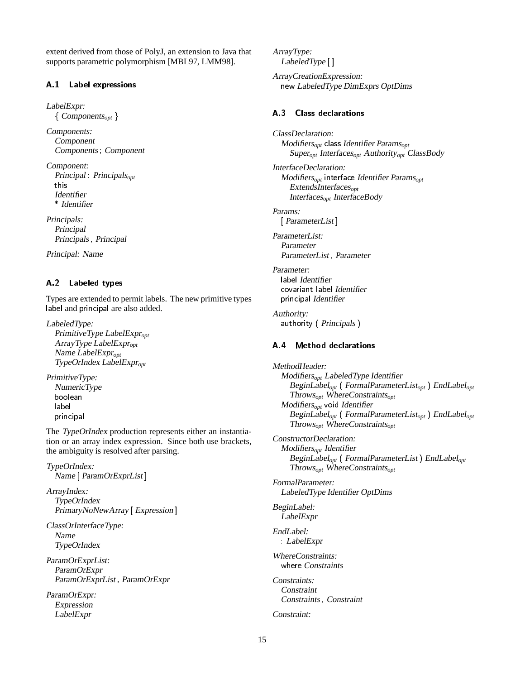extent derived from those of PolyJ, an extension to Java that supports parametric polymorphism [MBL97, LMM98].

## A.1 Label expressions

LabelExpr:  $\{ \text{ Components}_{opt} \}$ 

Components: Component Components ; Component

Component: Principal : Principals*opt* this **Identifier** \* Identifier

Principals: Principal Principals , Principal

Principal: Name

## A.2 Labeled types

Types are extended to permit labels. The new primitive types label and principal are also added.

LabeledType: PrimitiveType LabelExpr*opt* ArrayType LabelExpr*opt* Name LabelExpr*opt* TypeOrIndex LabelExpr*opt*

PrimitiveType: NumericType boolean label principal

The TypeOrIndex production represents either an instantiation or an array index expression. Since both use brackets, the ambiguity is resolved after parsing.

TypeOrIndex: Name [ ParamOrExprList ]

ArrayIndex: TypeOrIndex PrimaryNoNewArray [ Expression ]

ClassOrInterfaceType: Name TypeOrIndex

ParamOrExprList: ParamOrExpr ParamOrExprList , ParamOrExpr

ParamOrExpr: Expression LabelExpr

ArrayType: LabeledType [ ]

ArrayCreationExpression: new LabeledType DimExprs OptDims

## A.3 Class declarations

ClassDeclaration: Modifiers*opt* class Identifier Params*opt* Super*opt* Interfaces*opt* Authority*opt* ClassBody

InterfaceDeclaration: Modifiers*opt* interface Identifier Params*opt* ExtendsInterfaces*opt* Interfaces*opt* InterfaceBody

Params: [ ParameterList ]

ParameterList: Parameter ParameterList , Parameter

Parameter: label Identifier covariant label Identifier principal Identifier

Authority: authority ( Principals )

## $A<sub>4</sub>$

MethodHeader: Modifiers*opt* LabeledType Identifier BeginLabel*opt* ( FormalParameterList*opt* ) EndLabel*opt* Throws*opt* WhereConstraints*opt* Modifiers*opt* void Identifier BeginLabel*opt* ( FormalParameterList*opt* ) EndLabel*opt* Throws*opt* WhereConstraints*opt*

ConstructorDeclaration: Modifiers*opt* Identifier BeginLabel*opt* ( FormalParameterList ) EndLabel*opt* Throws*opt* WhereConstraints*opt*

FormalParameter: LabeledType Identifier OptDims

BeginLabel: LabelExpr

EndLabel: : LabelExpr

WhereConstraints: where Constraints

Constraints: **Constraint** Constraints , Constraint

## Constraint: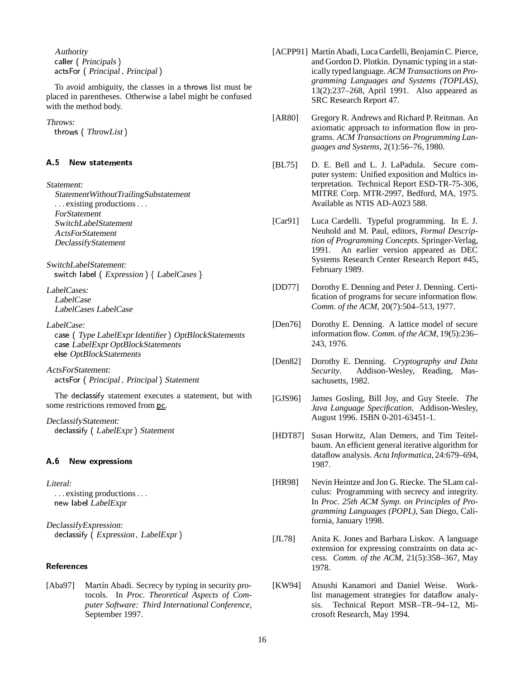Authority caller ( Principals ) actsFor ( Principal , Principal )

To avoid ambiguity, the classes in a throws list must be placed in parentheses. Otherwise a label might be confused with the method body.

## Throws:

throws ( ThrowList )

#### $A<sub>5</sub>$ **New statements**

Statement:

StatementWithoutTrailingSubstatement : existing productions : ForStatement SwitchLabelStatement ActsForStatement DeclassifyStatement

SwitchLabelStatement: switch label ( $Expression$ ) {  $LabelCase$ }

LabelCases: LabelCase LabelCases LabelCase

LabelCase: case ( Type LabelExpr Identifier ) OptBlockStatements case LabelExpr OptBlockStatements else OptBlockStatements

ActsForStatement: actsFor ( Principal , Principal ) Statement

The declassify statement executes a statement, but with some restrictions removed from pc.

DeclassifyStatement: declassify ( LabelExpr ) Statement

#### $A<sub>6</sub>$ **New expressions**

Literal: existing productions new label LabelExpr

DeclassifyExpression: declassify (Expression, LabelExpr)

## References

[Aba97] Martin Abadi. Secrecy by typing in security protocols. In *Proc. Theoretical Aspects of Computer Software: Third International Conference*, September 1997.

- [ACPP91] Martín Abadi, Luca Cardelli, Benjamin C. Pierce, and Gordon D. Plotkin. Dynamic typing in a statically typed language. *ACM Transactions on Programming Languages and Systems (TOPLAS)*, 13(2):237–268, April 1991. Also appeared as SRC Research Report 47.
- [AR80] Gregory R. Andrews and Richard P. Reitman. An axiomatic approach to information flow in programs. *ACM Transactions on Programming Languages and Systems*, 2(1):56–76, 1980.
- [BL75] D. E. Bell and L. J. LaPadula. Secure computer system: Unified exposition and Multics interpretation. Technical Report ESD-TR-75-306, MITRE Corp. MTR-2997, Bedford, MA, 1975. Available as NTIS AD-A023 588.
- [Car91] Luca Cardelli. Typeful programming. In E. J. Neuhold and M. Paul, editors, *Formal Description of Programming Concepts*. Springer-Verlag, 1991. An earlier version appeared as DEC Systems Research Center Research Report #45, February 1989.
- [DD77] Dorothy E. Denning and Peter J. Denning. Certification of programs for secure information flow. *Comm. of the ACM*, 20(7):504–513, 1977.
- [Den76] Dorothy E. Denning. A lattice model of secure information flow. *Comm. of the ACM*, 19(5):236– 243, 1976.
- [Den82] Dorothy E. Denning. *Cryptography and Data Security*. Addison-Wesley, Reading, Massachusetts, 1982.
- [GJS96] James Gosling, Bill Joy, and Guy Steele. *The Java Language Specification*. Addison-Wesley, August 1996. ISBN 0-201-63451-1.
- [HDT87] Susan Horwitz, Alan Demers, and Tim Teitelbaum. An efficient general iterative algorithm for dataflow analysis. *Acta Informatica*, 24:679–694, 1987.
- [HR98] Nevin Heintze and Jon G. Riecke. The SLam calculus: Programming with secrecy and integrity. In *Proc. 25th ACM Symp. on Principles of Programming Languages (POPL)*, San Diego, California, January 1998.
- [JL78] Anita K. Jones and Barbara Liskov. A language extension for expressing constraints on data access. *Comm. of the ACM*, 21(5):358–367, May 1978.
- [KW94] Atsushi Kanamori and Daniel Weise. Worklist management strategies for dataflow analysis. Technical Report MSR–TR–94–12, Microsoft Research, May 1994.